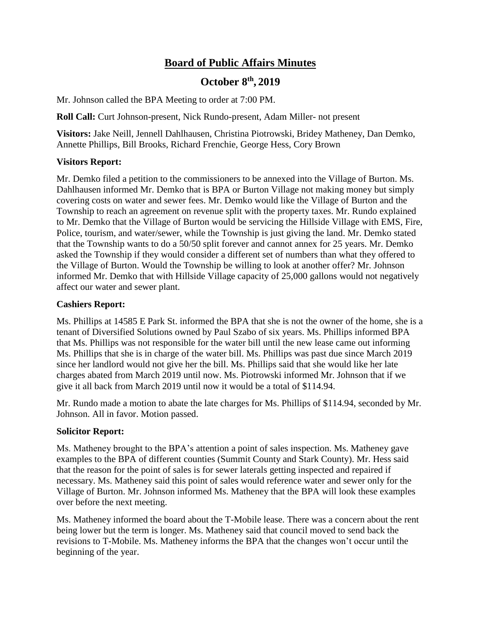# **Board of Public Affairs Minutes**

# **October 8th , 2019**

Mr. Johnson called the BPA Meeting to order at 7:00 PM.

**Roll Call:** Curt Johnson-present, Nick Rundo-present, Adam Miller- not present

**Visitors:** Jake Neill, Jennell Dahlhausen, Christina Piotrowski, Bridey Matheney, Dan Demko, Annette Phillips, Bill Brooks, Richard Frenchie, George Hess, Cory Brown

# **Visitors Report:**

Mr. Demko filed a petition to the commissioners to be annexed into the Village of Burton. Ms. Dahlhausen informed Mr. Demko that is BPA or Burton Village not making money but simply covering costs on water and sewer fees. Mr. Demko would like the Village of Burton and the Township to reach an agreement on revenue split with the property taxes. Mr. Rundo explained to Mr. Demko that the Village of Burton would be servicing the Hillside Village with EMS, Fire, Police, tourism, and water/sewer, while the Township is just giving the land. Mr. Demko stated that the Township wants to do a 50/50 split forever and cannot annex for 25 years. Mr. Demko asked the Township if they would consider a different set of numbers than what they offered to the Village of Burton. Would the Township be willing to look at another offer? Mr. Johnson informed Mr. Demko that with Hillside Village capacity of 25,000 gallons would not negatively affect our water and sewer plant.

# **Cashiers Report:**

Ms. Phillips at 14585 E Park St. informed the BPA that she is not the owner of the home, she is a tenant of Diversified Solutions owned by Paul Szabo of six years. Ms. Phillips informed BPA that Ms. Phillips was not responsible for the water bill until the new lease came out informing Ms. Phillips that she is in charge of the water bill. Ms. Phillips was past due since March 2019 since her landlord would not give her the bill. Ms. Phillips said that she would like her late charges abated from March 2019 until now. Ms. Piotrowski informed Mr. Johnson that if we give it all back from March 2019 until now it would be a total of \$114.94.

Mr. Rundo made a motion to abate the late charges for Ms. Phillips of \$114.94, seconded by Mr. Johnson. All in favor. Motion passed.

# **Solicitor Report:**

Ms. Matheney brought to the BPA's attention a point of sales inspection. Ms. Matheney gave examples to the BPA of different counties (Summit County and Stark County). Mr. Hess said that the reason for the point of sales is for sewer laterals getting inspected and repaired if necessary. Ms. Matheney said this point of sales would reference water and sewer only for the Village of Burton. Mr. Johnson informed Ms. Matheney that the BPA will look these examples over before the next meeting.

Ms. Matheney informed the board about the T-Mobile lease. There was a concern about the rent being lower but the term is longer. Ms. Matheney said that council moved to send back the revisions to T-Mobile. Ms. Matheney informs the BPA that the changes won't occur until the beginning of the year.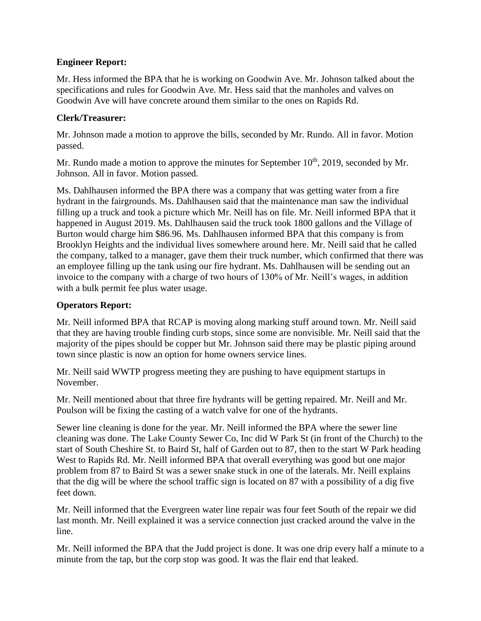# **Engineer Report:**

Mr. Hess informed the BPA that he is working on Goodwin Ave. Mr. Johnson talked about the specifications and rules for Goodwin Ave. Mr. Hess said that the manholes and valves on Goodwin Ave will have concrete around them similar to the ones on Rapids Rd.

# **Clerk/Treasurer:**

Mr. Johnson made a motion to approve the bills, seconded by Mr. Rundo. All in favor. Motion passed.

Mr. Rundo made a motion to approve the minutes for September  $10<sup>th</sup>$ , 2019, seconded by Mr. Johnson. All in favor. Motion passed.

Ms. Dahlhausen informed the BPA there was a company that was getting water from a fire hydrant in the fairgrounds. Ms. Dahlhausen said that the maintenance man saw the individual filling up a truck and took a picture which Mr. Neill has on file. Mr. Neill informed BPA that it happened in August 2019. Ms. Dahlhausen said the truck took 1800 gallons and the Village of Burton would charge him \$86.96. Ms. Dahlhausen informed BPA that this company is from Brooklyn Heights and the individual lives somewhere around here. Mr. Neill said that he called the company, talked to a manager, gave them their truck number, which confirmed that there was an employee filling up the tank using our fire hydrant. Ms. Dahlhausen will be sending out an invoice to the company with a charge of two hours of 130% of Mr. Neill's wages, in addition with a bulk permit fee plus water usage.

# **Operators Report:**

Mr. Neill informed BPA that RCAP is moving along marking stuff around town. Mr. Neill said that they are having trouble finding curb stops, since some are nonvisible. Mr. Neill said that the majority of the pipes should be copper but Mr. Johnson said there may be plastic piping around town since plastic is now an option for home owners service lines.

Mr. Neill said WWTP progress meeting they are pushing to have equipment startups in November.

Mr. Neill mentioned about that three fire hydrants will be getting repaired. Mr. Neill and Mr. Poulson will be fixing the casting of a watch valve for one of the hydrants.

Sewer line cleaning is done for the year. Mr. Neill informed the BPA where the sewer line cleaning was done. The Lake County Sewer Co, Inc did W Park St (in front of the Church) to the start of South Cheshire St. to Baird St, half of Garden out to 87, then to the start W Park heading West to Rapids Rd. Mr. Neill informed BPA that overall everything was good but one major problem from 87 to Baird St was a sewer snake stuck in one of the laterals. Mr. Neill explains that the dig will be where the school traffic sign is located on 87 with a possibility of a dig five feet down.

Mr. Neill informed that the Evergreen water line repair was four feet South of the repair we did last month. Mr. Neill explained it was a service connection just cracked around the valve in the line.

Mr. Neill informed the BPA that the Judd project is done. It was one drip every half a minute to a minute from the tap, but the corp stop was good. It was the flair end that leaked.